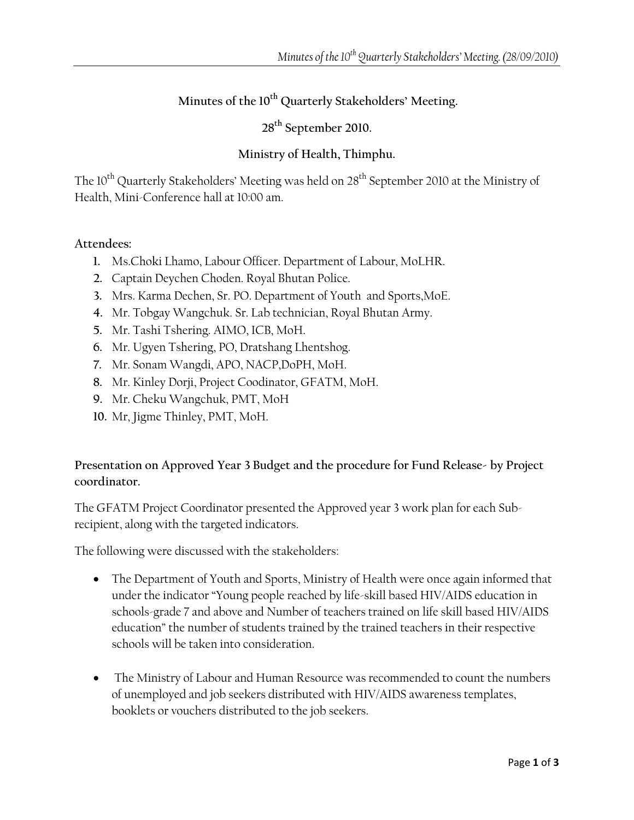# **Minutes of the 10th Quarterly Stakeholders' Meeting.**

**28th September 2010.** 

### **Ministry of Health, Thimphu.**

The 10<sup>th</sup> Quarterly Stakeholders' Meeting was held on 28<sup>th</sup> September 2010 at the Ministry of Health, Mini-Conference hall at 10:00 am.

#### **Attendees:**

- **1.** Ms.Choki Lhamo, Labour Officer. Department of Labour, MoLHR.
- **2.** Captain Deychen Choden. Royal Bhutan Police.
- **3.** Mrs. Karma Dechen, Sr. PO. Department of Youth and Sports,MoE.
- **4.** Mr. Tobgay Wangchuk. Sr. Lab technician, Royal Bhutan Army.
- **5.** Mr. Tashi Tshering. AIMO, ICB, MoH.
- **6.** Mr. Ugyen Tshering, PO, Dratshang Lhentshog.
- **7.** Mr. Sonam Wangdi, APO, NACP,DoPH, MoH.
- **8.** Mr. Kinley Dorji, Project Coodinator, GFATM, MoH.
- **9.** Mr. Cheku Wangchuk, PMT, MoH
- **10.** Mr, Jigme Thinley, PMT, MoH.

# **Presentation on Approved Year 3 Budget and the procedure for Fund Release- by Project coordinator.**

The GFATM Project Coordinator presented the Approved year 3 work plan for each Subrecipient, along with the targeted indicators.

The following were discussed with the stakeholders:

- The Department of Youth and Sports, Ministry of Health were once again informed that under the indicator "Young people reached by life-skill based HIV/AIDS education in schools-grade 7 and above and Number of teachers trained on life skill based HIV/AIDS education" the number of students trained by the trained teachers in their respective schools will be taken into consideration.
- The Ministry of Labour and Human Resource was recommended to count the numbers of unemployed and job seekers distributed with HIV/AIDS awareness templates, booklets or vouchers distributed to the job seekers.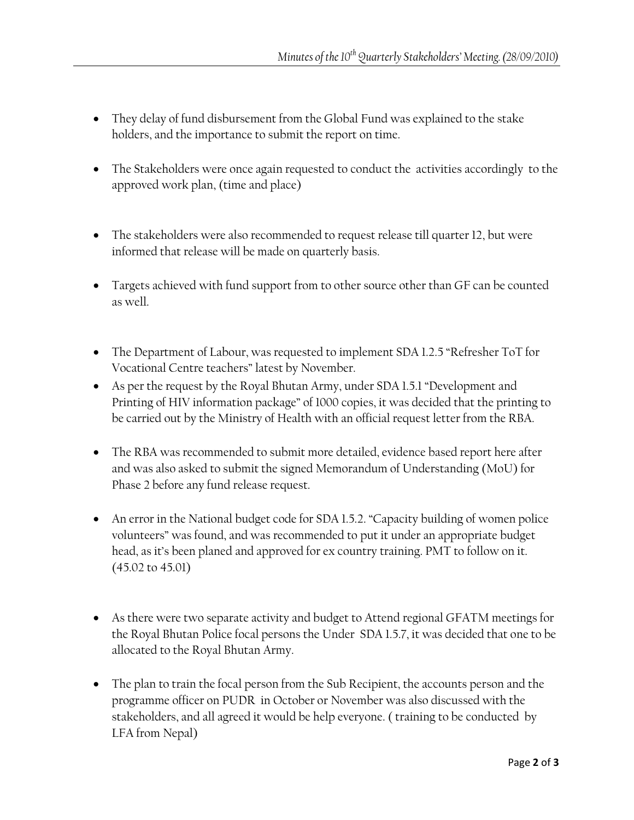- They delay of fund disbursement from the Global Fund was explained to the stake holders, and the importance to submit the report on time.
- The Stakeholders were once again requested to conduct the activities accordingly to the approved work plan, (time and place)
- The stakeholders were also recommended to request release till quarter 12, but were informed that release will be made on quarterly basis.
- Targets achieved with fund support from to other source other than GF can be counted as well.
- The Department of Labour, was requested to implement SDA 1.2.5 "Refresher ToT for Vocational Centre teachers" latest by November.
- As per the request by the Royal Bhutan Army, under SDA 1.5.1 "Development and Printing of HIV information package" of 1000 copies, it was decided that the printing to be carried out by the Ministry of Health with an official request letter from the RBA.
- The RBA was recommended to submit more detailed, evidence based report here after and was also asked to submit the signed Memorandum of Understanding (MoU) for Phase 2 before any fund release request.
- An error in the National budget code for SDA 1.5.2. "Capacity building of women police volunteers" was found, and was recommended to put it under an appropriate budget head, as it's been planed and approved for ex country training. PMT to follow on it. (45.02 to 45.01)
- As there were two separate activity and budget to Attend regional GFATM meetings for the Royal Bhutan Police focal persons the Under SDA 1.5.7, it was decided that one to be allocated to the Royal Bhutan Army.
- The plan to train the focal person from the Sub Recipient, the accounts person and the programme officer on PUDR in October or November was also discussed with the stakeholders, and all agreed it would be help everyone. ( training to be conducted by LFA from Nepal)